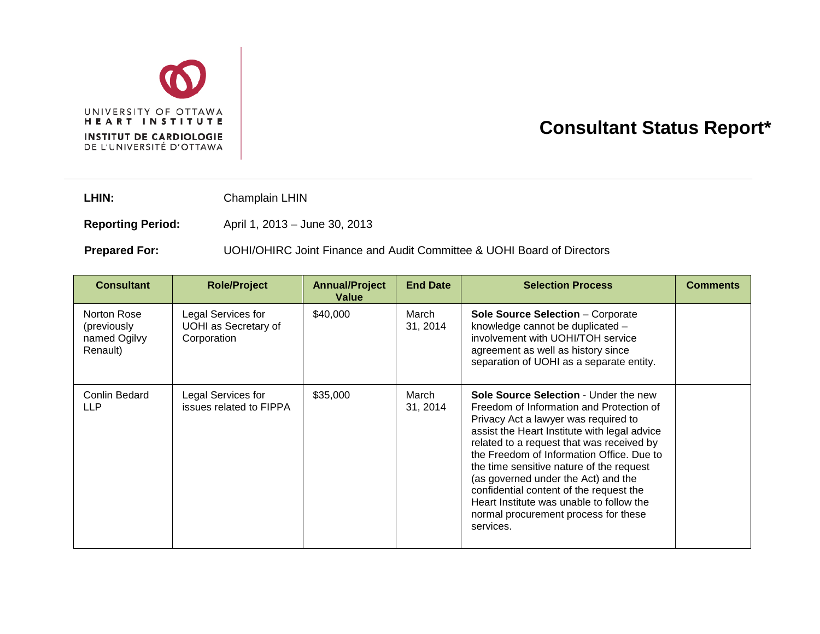

## **Consultant Status Report\***

LHIN: Champlain LHIN

**Reporting Period:** April 1, 2013 – June 30, 2013

## **Prepared For:** UOHI/OHIRC Joint Finance and Audit Committee & UOHI Board of Directors

| <b>Consultant</b>                                      | <b>Role/Project</b>                                              | <b>Annual/Project</b><br>Value | <b>End Date</b>   | <b>Selection Process</b>                                                                                                                                                                                                                                                                                                                                                                                                                                                                                  | <b>Comments</b> |
|--------------------------------------------------------|------------------------------------------------------------------|--------------------------------|-------------------|-----------------------------------------------------------------------------------------------------------------------------------------------------------------------------------------------------------------------------------------------------------------------------------------------------------------------------------------------------------------------------------------------------------------------------------------------------------------------------------------------------------|-----------------|
| Norton Rose<br>(previously<br>named Ogilvy<br>Renault) | Legal Services for<br><b>UOHI</b> as Secretary of<br>Corporation | \$40,000                       | March<br>31, 2014 | <b>Sole Source Selection - Corporate</b><br>knowledge cannot be duplicated -<br>involvement with UOHI/TOH service<br>agreement as well as history since<br>separation of UOHI as a separate entity.                                                                                                                                                                                                                                                                                                       |                 |
| Conlin Bedard<br><b>LLP</b>                            | Legal Services for<br>issues related to FIPPA                    | \$35,000                       | March<br>31, 2014 | <b>Sole Source Selection - Under the new</b><br>Freedom of Information and Protection of<br>Privacy Act a lawyer was required to<br>assist the Heart Institute with legal advice<br>related to a request that was received by<br>the Freedom of Information Office. Due to<br>the time sensitive nature of the request<br>(as governed under the Act) and the<br>confidential content of the request the<br>Heart Institute was unable to follow the<br>normal procurement process for these<br>services. |                 |